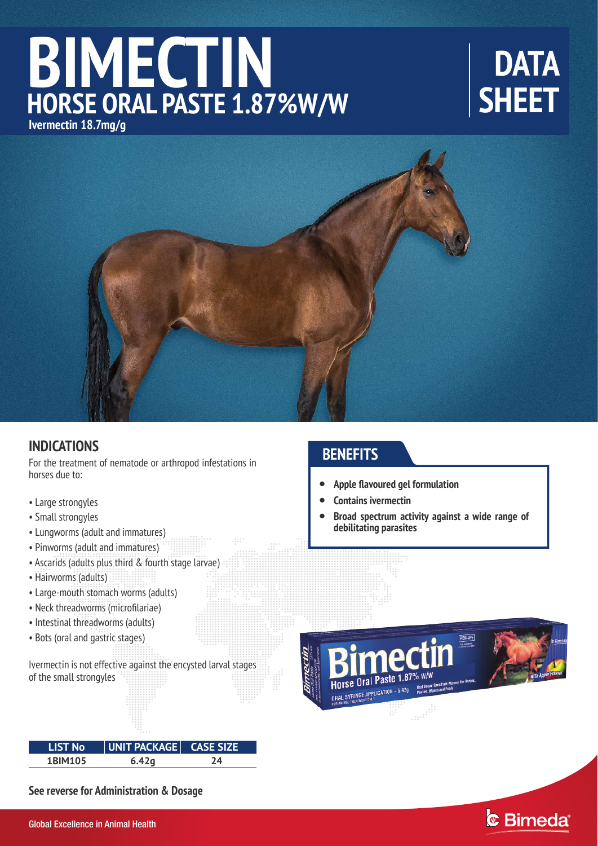## **BIMECTIN HORSE ORAL PASTE 1.87%W/W Ivermectin 18.7mg/g**

# **DATA SHEET**



## **INDICATIONS**

For the treatment of nematode or arthropod infestations in horses due to:

- Large strongyles
- Small strongyles
- Lungworms (adult and immatures)
- Pinworms (adult and immatures)
- Ascarids (adults plus third & fourth stage larvae)
- Hairworms (adults)
- Large-mouth stomach worms (adults)
- Neck threadworms (microfilariae)
- Intestinal threadworms (adults)
- Bots (oral and gastric stages)

Ivermectin is not effective against the encysted larval stages of the small strongyles

### **LIST No UNIT PACKAGE CASE SIZE 1BIM105 6.42g 24**

**See reverse for Administration & Dosage** 

## **BENEFITS**

- **Apple flavoured gel formulation**   $\bullet$
- **Contains ivermectin**  $\bullet$
- **Broad spectrum activity against a wide range of debilitating parasites**  $\bullet$